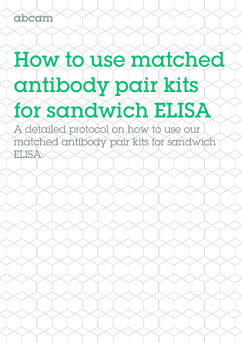abcam

# How to use matched antibody pair kits for sandwich ELISA

A detailed protocol on how to use our matched antibody pair kits for sandwich ELISA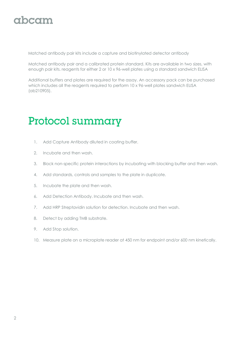#### gbcgm

Matched antibody pair kits include a capture and biotinylated detector antibody

Matched antibody pair and a calibrated protein standard. Kits are available in two sizes, with enough pair kits. reagents for either 2 or 10 x 96-well plates using a standard sandwich ELISA

Additional buffers and plates are required for the assay. An accessory pack can be purchased which includes all the reagents required to perform 10 x 96-well plates sandwich ELISA (ab210905).

### Protocol summary

- 1. Add Capture Antibody diluted in coating buffer.
- 2. Incubate and then wash.
- 3. Block non-specific protein interactions by incubating with blocking buffer and then wash.
- 4. Add standards, controls and samples to the plate in duplicate.
- 5. Incubate the plate and then wash.
- 6. Add Detection Antibody. Incubate and then wash.
- 7. Add HRP Streptavidin solution for detection. Incubate and then wash.
- 8. Detect by adding TMB substrate.
- 9. Add Stop solution.
- 10. Measure plate on a microplate reader at 450 nm for endpoint and/or 600 nm kinetically.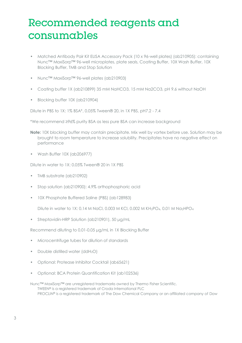#### Recommended reagents and consumables

- Matched Antibody Pair Kit ELISA Accessory Pack (10 x 96-well plates) (ab210905): containing Nunc™ MaxiSorp™ 96-well microplates, plate seals, Coating Buffer, 10X Wash Buffer, 10X Blocking Buffer, TMB and Stop Solution
- Nunc™ MaxiSorp™ 96-well plates (ab210903)
- Coating buffer 1X (ab210899) 35 mM NaHCO3, 15 mM Na2CO3, pH 9.6 without NaOH
- Blocking buffer 10X (ab210904)

Dilute in PBS to 1X: 1% BSA\*, 0.05% Tween® 20, in 1X PBS, pH7.2 - 7.4

\*We recommend ≥96% purity BSA as less pure BSA can increase background

- **Note:** 10X blocking buffer may contain precipitate. Mix well by vortex before use. Solution may be brought to room temperature to increase solubility. Precipitates have no negative effect on performance
- Wash Buffer 10X (ab206977)

Dilute in water to 1X: 0.05% Tween® 20 in 1X PBS

- TMB substrate (ab210902)
- Stop solution (ab210900): 4.9% orthophosphoric acid
- 10X Phosphate Buffered Saline (PBS) (ab128983)

Dilute in water to 1X: 0.14 M NaCl, 0.003 M KCl, 0.002 M KH2PO4, 0.01 M Na2HPO<sup>4</sup>

• Streptavidin-HRP Solution (ab210901), 50 μg/mL

Recommend diluting to 0.01-0.05 μg/mL in 1X Blocking Buffer

- Microcentrifuge tubes for dilution of standards
- Double distilled water (ddH<sub>2</sub>O)
- Optional: Protease Inhibitor Cocktail (ab65621)
- Optional: BCA Protein Quantification Kit (ab102536)

Nunc™ MaxiSorp™ are unregistered trademarks owned by Thermo Fisher Scientific. TWEEN® is a registered trademark of Croda International PLC PROCLIN® is a registered trademark of The Dow Chemical Company or an affiliated company of Dow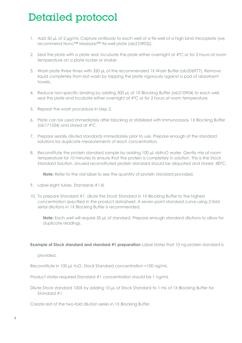## Detailed protocol

- 1. Add 50 µL of 2 µg/mL Capture antibody to each well of a 96-well of a high bind microplate (we recommend Nunc™ Maxisorp™ 96-well plate (ab210903)).
- 2. Seal the plate with a plate seal. Incubate the plate either overnight at 4°C or for 2 hours at room temperature on a plate rocker or shaker.
- 3. Wash plate three times with 350 uL of the recommended 1X Wash Buffer (ab206977). Remove liquid completely from last wash by tapping the plate vigorously against a pad of absorbent towels.
- 4. Reduce non-specific binding by adding 300 μL of 1X Blocking Buffer (ab210904) to each well, seal the plate and incubate either overnight at 4°C or for 2 hours at room temperature.
- 5. Repeat the wash procedure in step 2.
- 6. Plate can be used immediately after blocking or stabilized with Immunoassay 1X Blocking Buffer (ab171534) and stored at 4ºC.
- 7. Prepare serially diluted standards immediately prior to use. Prepare enough of the standard solutions for duplicate measurements of each concentration.
- 8. Reconstitute the protein standard sample by adding 100 µL ddH<sub>2</sub>O water. Gently mix at room temperature for 10 minutes to ensure that the protein is completely in solution. This is the Stock Standard Solution. Unused reconstituted protein standard should be aliquoted and stored -80ºC.

**Note:** Refer to the vial label to see the quantity of protein standard provided.

- 9. Label eight tubes, Standards #1-8.
- 10. To prepare Standard #1, dilute the Stock Standard in 1X Blocking Buffer to the highest concentration specified in the product datasheet. A seven-point standard curve using 2-fold serial dilutions in 1X Blocking Buffer is recommended.

**Note:** Each well will require 50 µL of standard. Prepare enough standard dilutions to allow for duplicate readings.

#### **Example of Stock standard and standard #1 preparation** Label states that 10 na protein standard is

provided.

Reconstitute in 100 μL H2O. Stock Standard concentration =100 ng/mL

Product states required Standard #1 concentration should be 1 ng/mL

Dilute Stock standard 100X by adding 10 μL of Stock Standard to 1 mL of 1X Blocking Buffer for Standard #1

Create rest of the two-fold dilution series in 1X Blocking Buffer.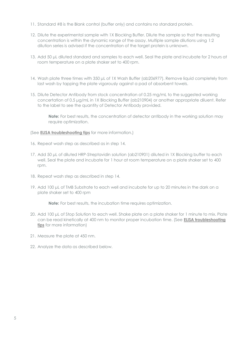- 11. Standard #8 is the Blank control (buffer only) and contains no standard protein.
- 12. Dilute the experimental sample with 1X Blocking Buffer. Dilute the sample so that the resulting concentration is within the dynamic range of the assay. Multiple sample dilutions using 1:2 dilution series is advised if the concentration of the target protein is unknown.
- 13. Add 50 μL diluted standard and samples to each well. Seal the plate and incubate for 2 hours at room temperature on a plate shaker set to 400 rpm.
- 14. Wash plate three times with 350 μL of 1X Wash Buffer (ab206977). Remove liquid completely from last wash by tapping the plate vigorously against a pad of absorbent towels.
- 15. Dilute Detector Antibody from stock concentration of 0.25 mg/mL to the suggested working concertation of 0.5 μg/mL in 1X Blocking Buffer (ab210904) or another appropriate diluent. Refer to the label to see the quantity of Detector Antibody provided.

**Note:** For best results, the concentration of detector antibody in the working solution may require optimization.

(See **[ELISA troubleshooting tips](https://www.abcam.com/protocols/elisa-troubleshooting-tips)** for more information.)

- 16. Repeat wash step as described as in step 14.
- 17. Add 50 μL of diluted HRP-Streptavidin solution (ab210901) diluted in 1X Blocking buffer to each well. Seal the plate and incubate for 1 hour at room temperature on a plate shaker set to 400 rpm.
- 18. Repeat wash step as described in step 14.
- 19. Add 100 μL of TMB Substrate to each well and incubate for up to 20 minutes in the dark on a plate shaker set to 400 rpm

**Note:** For best results, the incubation time requires optimization.

- 20. Add 100 μL of Stop Solution to each well. Shake plate on a plate shaker for 1 minute to mix. Plate can be read kinetically at 400 nm to monitor proper incubation time. (See **[ELISA troubleshooting](https://www.abcam.com/protocols/elisa-troubleshooting-tips)  [tips](https://www.abcam.com/protocols/elisa-troubleshooting-tips)** for more information)
- 21. Measure the plate at 450 nm.
- 22. Analyze the data as described below.